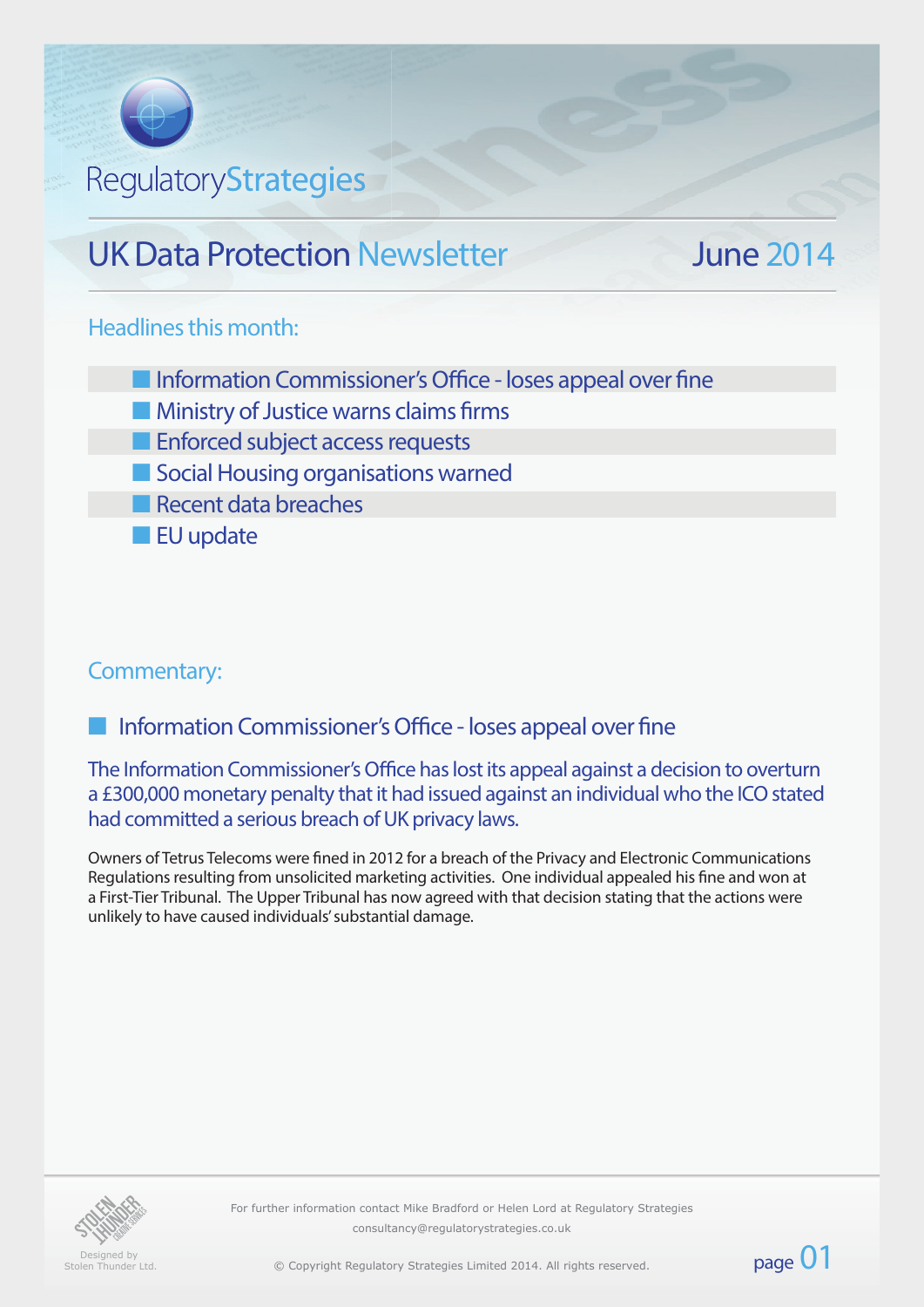# RegulatoryStrategies

# UK Data Protection Newsletter June 2014

page 01

## Headlines this month:

- **n** Information Commissioner's Office loses appeal over fine
- $\blacksquare$  Ministry of Justice warns claims firms
- **n** Enforced subject access requests
- **n** Social Housing organisations warned
- $\blacksquare$  Recent data breaches
- **n** EU update

# Commentary:

Information Commissioner's Office - loses appeal over fine

The Information Commissioner's Office has lost its appeal against a decision to overturn a £300,000 monetary penalty that it had issued against an individual who the ICO stated had committed a serious breach of UK privacy laws.

Owners of Tetrus Telecoms were fined in 2012 for a breach of the Privacy and Electronic Communications Regulations resulting from unsolicited marketing activities. One individual appealed his fine and won at a First-Tier Tribunal. The Upper Tribunal has now agreed with that decision stating that the actions were unlikely to have caused individuals' substantial damage.



Designed by Stolen Thunder Ltd For further information contact Mike Bradford or Helen Lord at Regulatory Strategies consultancy@regulatorystrategies.co.uk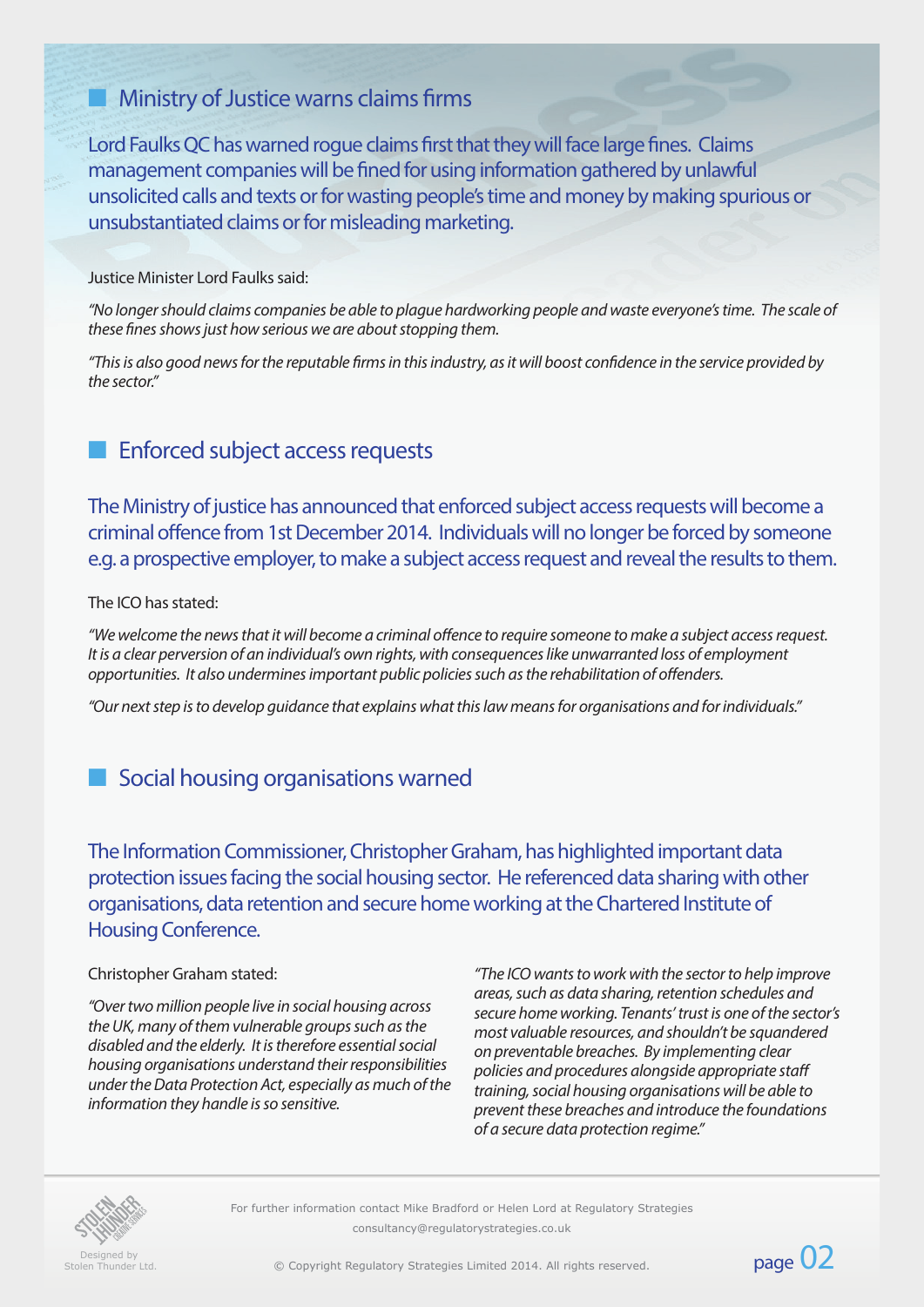# $\blacksquare$  Ministry of Justice warns claims firms

Lord Faulks QC has warned rogue claims first that they will face large fines. Claims management companies will be fined for using information gathered by unlawful unsolicited calls and texts or for wasting people's time and money by making spurious or unsubstantiated claims or for misleading marketing.

#### Justice Minister Lord Faulks said:

*"No longer should claims companies be able to plague hardworking people and waste everyone's time. The scale of these fines shows just how serious we are about stopping them.*

*"This is also good news for the reputable firms in this industry, as it will boost confidence in the service provided by the sector."*

# **Enforced subject access requests**

The Ministry of justice has announced that enforced subject access requests will become a criminal offence from 1st December 2014. Individuals will no longer be forced by someone e.g. a prospective employer, to make a subject access request and reveal the results to them.

#### The ICO has stated:

*"We welcome the news that it will become a criminal offence to require someone to make a subject access request. It is a clear perversion of an individual's own rights, with consequences like unwarranted loss of employment opportunities. It also undermines important public policies such as the rehabilitation of offenders.*

*"Our next step is to develop guidance that explains what this law means for organisations and for individuals."*

## **n** Social housing organisations warned

The Information Commissioner, Christopher Graham, has highlighted important data protection issues facing the social housing sector. He referenced data sharing with other organisations, data retention and secure home working at the Chartered Institute of Housing Conference.

#### Christopher Graham stated:

*"Over two million people live in social housing across the UK, many of them vulnerable groups such as the disabled and the elderly. It is therefore essential social housing organisations understand their responsibilities under the Data Protection Act, especially as much of the information they handle is so sensitive.*

*"The ICO wants to work with the sector to help improve areas, such as data sharing, retention schedules and secure home working. Tenants' trust is one of the sector's most valuable resources, and shouldn't be squandered on preventable breaches. By implementing clear policies and procedures alongside appropriate staff training, social housing organisations will be able to prevent these breaches and introduce the foundations of a secure data protection regime."* 



For further information contact Mike Bradford or Helen Lord at Regulatory Strategies consultancy@regulatorystrategies.co.uk

Designed by<br>Stolen Thunder Ltd

exigned by<br>Stolen Thunder Ltd. Copyright Regulatory Strategies Limited 2014. All rights reserved. **Page 02**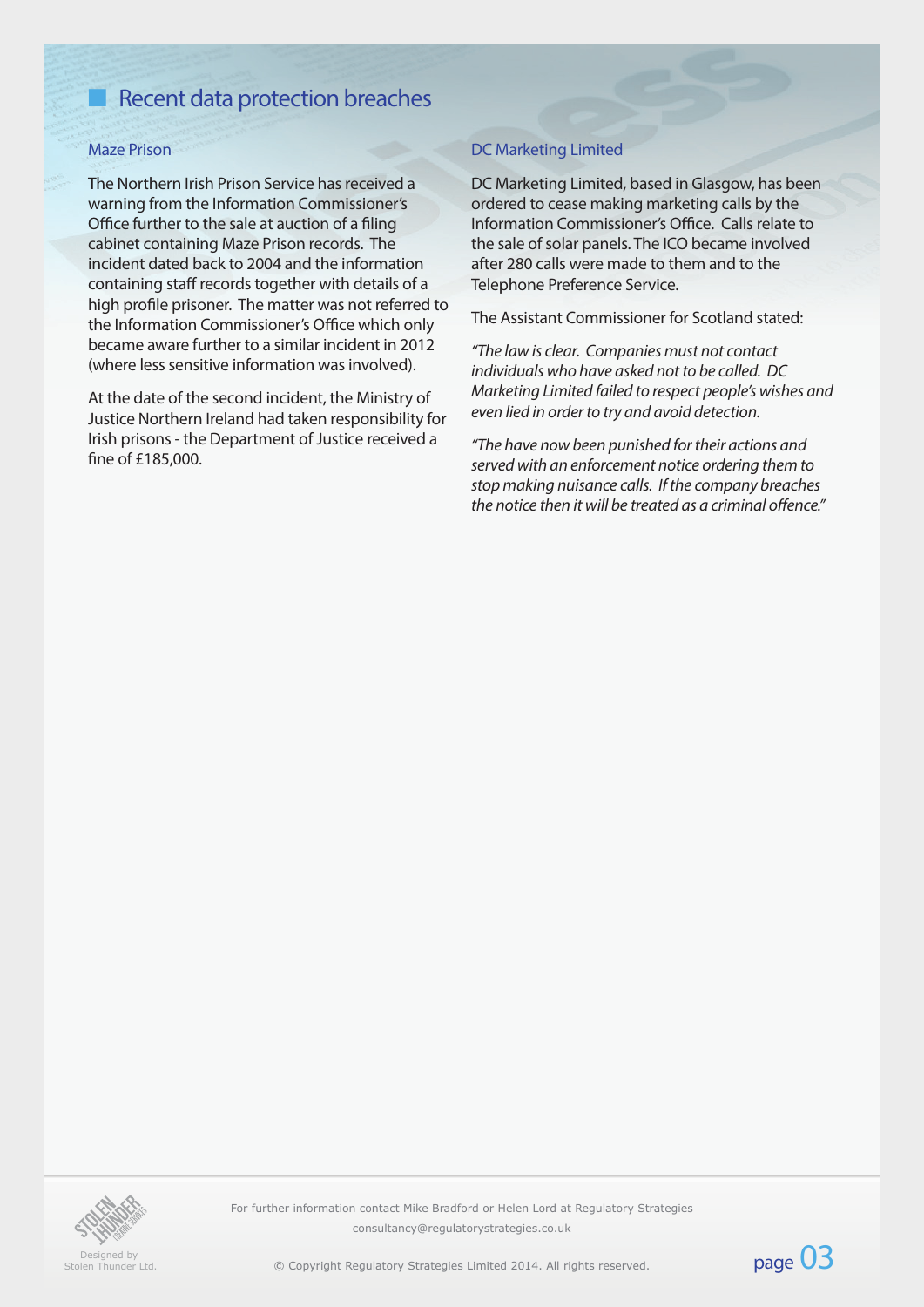# Recent data protection breaches

#### Maze Prison

The Northern Irish Prison Service has received a warning from the Information Commissioner's Office further to the sale at auction of a filing cabinet containing Maze Prison records. The incident dated back to 2004 and the information containing staff records together with details of a high profile prisoner. The matter was not referred to the Information Commissioner's Office which only became aware further to a similar incident in 2012 (where less sensitive information was involved).

At the date of the second incident, the Ministry of Justice Northern Ireland had taken responsibility for Irish prisons - the Department of Justice received a fine of £185,000.

#### DC Marketing Limited

DC Marketing Limited, based in Glasgow, has been ordered to cease making marketing calls by the Information Commissioner's Office. Calls relate to the sale of solar panels. The ICO became involved after 280 calls were made to them and to the Telephone Preference Service.

The Assistant Commissioner for Scotland stated:

*"The law is clear. Companies must not contact individuals who have asked not to be called. DC Marketing Limited failed to respect people's wishes and even lied in order to try and avoid detection.*

*"The have now been punished for their actions and served with an enforcement notice ordering them to stop making nuisance calls. If the company breaches the notice then it will be treated as a criminal offence."* 



Designed by<br>Stolen Thunder Ltd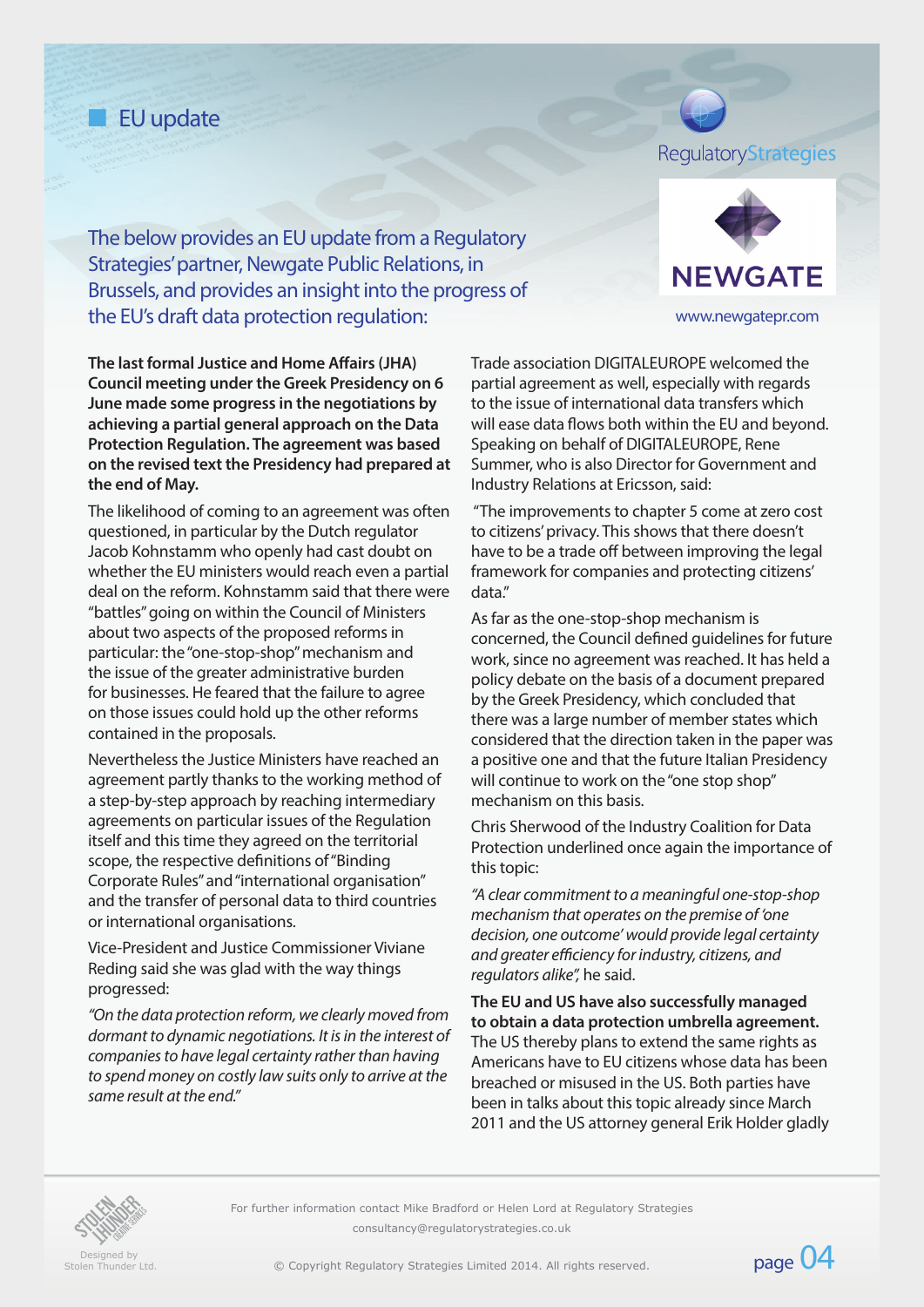# **n** EU update

## RegulatoryStrategies

The below provides an EU update from a Regulatory Strategies' partner, Newgate Public Relations, in Brussels, and provides an insight into the progress of the EU's draft data protection regulation: www.newgatepr.com

**The last formal Justice and Home Affairs (JHA) Council meeting under the Greek Presidency on 6 June made some progress in the negotiations by achieving a partial general approach on the Data Protection Regulation. The agreement was based on the revised text the Presidency had prepared at the end of May.** 

The likelihood of coming to an agreement was often questioned, in particular by the Dutch regulator Jacob Kohnstamm who openly had cast doubt on whether the EU ministers would reach even a partial deal on the reform. Kohnstamm said that there were "battles" going on within the Council of Ministers about two aspects of the proposed reforms in particular: the "one-stop-shop" mechanism and the issue of the greater administrative burden for businesses. He feared that the failure to agree on those issues could hold up the other reforms contained in the proposals.

Nevertheless the Justice Ministers have reached an agreement partly thanks to the working method of a step-by-step approach by reaching intermediary agreements on particular issues of the Regulation itself and this time they agreed on the territorial scope, the respective definitions of "Binding Corporate Rules" and "international organisation" and the transfer of personal data to third countries or international organisations.

Vice-President and Justice Commissioner Viviane Reding said she was glad with the way things progressed:

*"On the data protection reform, we clearly moved from dormant to dynamic negotiations. It is in the interest of companies to have legal certainty rather than having to spend money on costly law suits only to arrive at the same result at the end."* 



Trade association DIGITALEUROPE welcomed the partial agreement as well, especially with regards to the issue of international data transfers which will ease data flows both within the EU and beyond. Speaking on behalf of DIGITALEUROPE, Rene Summer, who is also Director for Government and Industry Relations at Ericsson, said:

 "The improvements to chapter 5 come at zero cost to citizens' privacy. This shows that there doesn't have to be a trade off between improving the legal framework for companies and protecting citizens' data."

As far as the one-stop-shop mechanism is concerned, the Council defined guidelines for future work, since no agreement was reached. It has held a policy debate on the basis of a document prepared by the Greek Presidency, which concluded that there was a large number of member states which considered that the direction taken in the paper was a positive one and that the future Italian Presidency will continue to work on the "one stop shop" mechanism on this basis.

Chris Sherwood of the Industry Coalition for Data Protection underlined once again the importance of this topic:

*"A clear commitment to a meaningful one-stop-shop mechanism that operates on the premise of 'one decision, one outcome' would provide legal certainty and greater efficiency for industry, citizens, and regulators alike",* he said.

**The EU and US have also successfully managed to obtain a data protection umbrella agreement.**  The US thereby plans to extend the same rights as Americans have to EU citizens whose data has been breached or misused in the US. Both parties have been in talks about this topic already since March 2011 and the US attorney general Erik Holder gladly



For further information contact Mike Bradford or Helen Lord at Regulatory Strategies consultancy@regulatorystrategies.co.uk